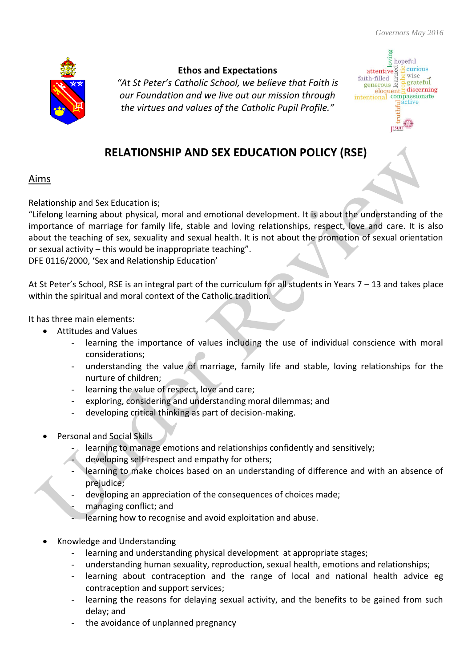

## **Ethos and Expectations**

*"At St Peter's Catholic School, we believe that Faith is our Foundation and we live out our mission through the virtues and values of the Catholic Pupil Profile."*



## **RELATIONSHIP AND SEX EDUCATION POLICY (RSE)**

## Aims

Relationship and Sex Education is;

"Lifelong learning about physical, moral and emotional development. It is about the understanding of the importance of marriage for family life, stable and loving relationships, respect, love and care. It is also about the teaching of sex, sexuality and sexual health. It is not about the promotion of sexual orientation or sexual activity – this would be inappropriate teaching".

DFE 0116/2000, 'Sex and Relationship Education'

At St Peter's School, RSE is an integral part of the curriculum for all students in Years 7 – 13 and takes place within the spiritual and moral context of the Catholic tradition.

It has three main elements:

- Attitudes and Values
	- learning the importance of values including the use of individual conscience with moral considerations;
	- understanding the value of marriage, family life and stable, loving relationships for the nurture of children;
	- learning the value of respect, love and care;
	- exploring, considering and understanding moral dilemmas; and
	- developing critical thinking as part of decision-making.
- Personal and Social Skills
	- learning to manage emotions and relationships confidently and sensitively;
	- developing self-respect and empathy for others;
	- learning to make choices based on an understanding of difference and with an absence of prejudice;
	- developing an appreciation of the consequences of choices made;
	- managing conflict; and
	- learning how to recognise and avoid exploitation and abuse.
- Knowledge and Understanding
	- learning and understanding physical development at appropriate stages;
	- understanding human sexuality, reproduction, sexual health, emotions and relationships;
	- learning about contraception and the range of local and national health advice eg contraception and support services;
	- learning the reasons for delaying sexual activity, and the benefits to be gained from such delay; and
	- the avoidance of unplanned pregnancy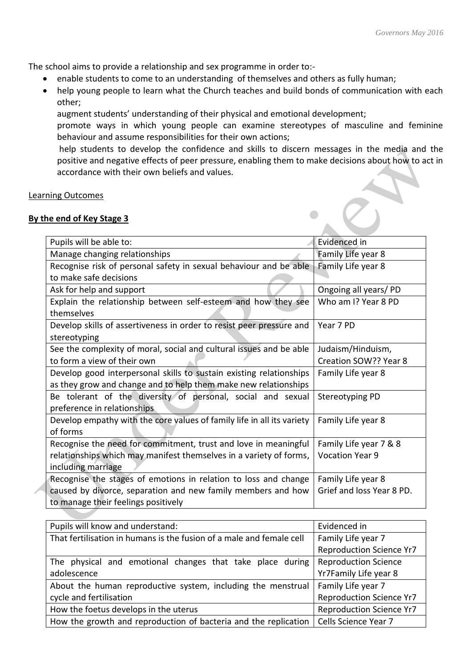The school aims to provide a relationship and sex programme in order to:-

- enable students to come to an understanding of themselves and others as fully human;
- help young people to learn what the Church teaches and build bonds of communication with each other;

augment students' understanding of their physical and emotional development;

promote ways in which young people can examine stereotypes of masculine and feminine behaviour and assume responsibilities for their own actions;

help students to develop the confidence and skills to discern messages in the media and the positive and negative effects of peer pressure, enabling them to make decisions about how to act in accordance with their own beliefs and values.

#### Learning Outcomes

#### **By the end of Key Stage 3**

| Pupils will be able to:                                                | Evidenced in              |
|------------------------------------------------------------------------|---------------------------|
| Manage changing relationships                                          | Family Life year 8        |
| Recognise risk of personal safety in sexual behaviour and be able      | Family Life year 8        |
| to make safe decisions                                                 |                           |
| Ask for help and support                                               | Ongoing all years/PD      |
| Explain the relationship between self-esteem and how they see          | Who am I? Year 8 PD       |
| themselves                                                             |                           |
| Develop skills of assertiveness in order to resist peer pressure and   | Year 7 PD                 |
| stereotyping                                                           |                           |
| See the complexity of moral, social and cultural issues and be able    | Judaism/Hinduism,         |
| to form a view of their own                                            | Creation SOW?? Year 8     |
| Develop good interpersonal skills to sustain existing relationships    | Family Life year 8        |
| as they grow and change and to help them make new relationships        |                           |
| Be tolerant of the diversity of personal, social and sexual            | Stereotyping PD           |
| preference in relationships                                            |                           |
| Develop empathy with the core values of family life in all its variety | Family Life year 8        |
| of forms                                                               |                           |
| Recognise the need for commitment, trust and love in meaningful        | Family Life year 7 & 8    |
| relationships which may manifest themselves in a variety of forms,     | <b>Vocation Year 9</b>    |
| including marriage                                                     |                           |
| Recognise the stages of emotions in relation to loss and change        | Family Life year 8        |
| caused by divorce, separation and new family members and how           | Grief and loss Year 8 PD. |
| to manage their feelings positively                                    |                           |
|                                                                        |                           |

| Pupils will know and understand:                                     | Evidenced in                    |
|----------------------------------------------------------------------|---------------------------------|
| That fertilisation in humans is the fusion of a male and female cell | Family Life year 7              |
|                                                                      | <b>Reproduction Science Yr7</b> |
| The physical and emotional changes that take place during            | Reproduction Science            |
| adolescence                                                          | Yr7Family Life year 8           |
| About the human reproductive system, including the menstrual         | Family Life year 7              |
| cycle and fertilisation                                              | <b>Reproduction Science Yr7</b> |
| How the foetus develops in the uterus                                | <b>Reproduction Science Yr7</b> |
| How the growth and reproduction of bacteria and the replication      | Cells Science Year 7            |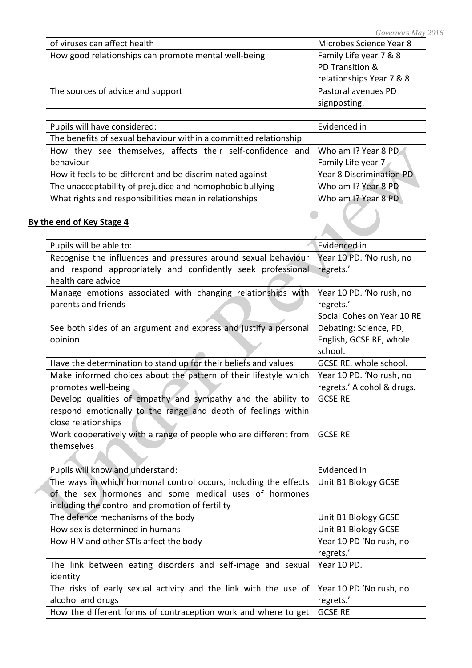|                                                      | $U \cup V \cup I \cup V \cup I \cup I \cup V$ |
|------------------------------------------------------|-----------------------------------------------|
| of viruses can affect health                         | Microbes Science Year 8                       |
| How good relationships can promote mental well-being | Family Life year 7 & 8                        |
|                                                      | PD Transition &                               |
|                                                      | relationships Year 7 & 8                      |
| The sources of advice and support                    | Pastoral avenues PD                           |
|                                                      | signposting.                                  |

| Pupils will have considered:                                                     | Evidenced in                    |
|----------------------------------------------------------------------------------|---------------------------------|
| The benefits of sexual behaviour within a committed relationship                 |                                 |
| How they see themselves, affects their self-confidence and   Who am I? Year 8 PD |                                 |
| behaviour                                                                        | Family Life year 7              |
| How it feels to be different and be discriminated against                        | <b>Year 8 Discrimination PD</b> |
| The unacceptability of prejudice and homophobic bullying                         | Who am I? Year 8 PD             |
| What rights and responsibilities mean in relationships                           | Who am I? Year 8 PD             |

## **By the end of Key Stage 4**

| Pupils will be able to:                                          | Evidenced in               |
|------------------------------------------------------------------|----------------------------|
| Recognise the influences and pressures around sexual behaviour   | Year 10 PD. 'No rush, no   |
| and respond appropriately and confidently seek professional      | regrets.'                  |
| health care advice                                               |                            |
| Manage emotions associated with changing relationships with      | Year 10 PD. 'No rush, no   |
| parents and friends                                              | regrets.'                  |
|                                                                  | Social Cohesion Year 10 RE |
| See both sides of an argument and express and justify a personal | Debating: Science, PD,     |
| opinion                                                          | English, GCSE RE, whole    |
|                                                                  | school.                    |
| Have the determination to stand up for their beliefs and values  | GCSE RE, whole school.     |
| Make informed choices about the pattern of their lifestyle which | Year 10 PD. 'No rush, no   |
| promotes well-being                                              | regrets.' Alcohol & drugs. |
| Develop qualities of empathy and sympathy and the ability to     | <b>GCSE RE</b>             |
| respond emotionally to the range and depth of feelings within    |                            |
| close relationships                                              |                            |
| Work cooperatively with a range of people who are different from | <b>GCSE RE</b>             |
| themselves                                                       |                            |
|                                                                  |                            |

| Pupils will know and understand:                                 | Evidenced in            |
|------------------------------------------------------------------|-------------------------|
| The ways in which hormonal control occurs, including the effects | Unit B1 Biology GCSE    |
| of the sex hormones and some medical uses of hormones            |                         |
| including the control and promotion of fertility                 |                         |
| The defence mechanisms of the body                               | Unit B1 Biology GCSE    |
| How sex is determined in humans                                  | Unit B1 Biology GCSE    |
| How HIV and other STIs affect the body                           | Year 10 PD 'No rush, no |
|                                                                  | regrets.'               |
| The link between eating disorders and self-image and sexual      | Year 10 PD.             |
| identity                                                         |                         |
| The risks of early sexual activity and the link with the use of  | Year 10 PD 'No rush, no |
| alcohol and drugs                                                | regrets.'               |
| How the different forms of contraception work and where to get   | <b>GCSE RE</b>          |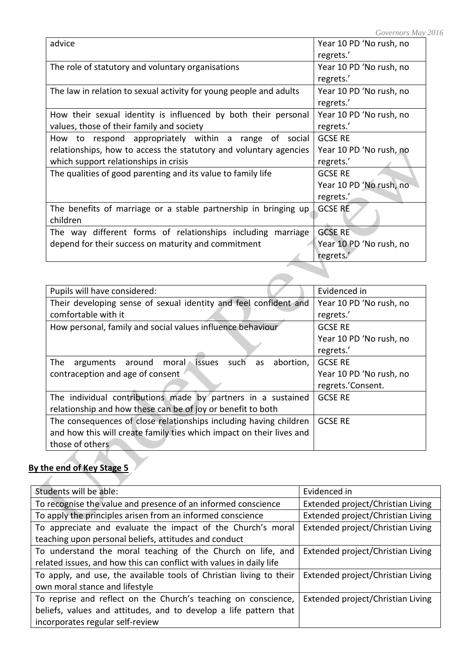|                                                                    | .                       |
|--------------------------------------------------------------------|-------------------------|
| advice                                                             | Year 10 PD 'No rush, no |
|                                                                    | regrets.'               |
| The role of statutory and voluntary organisations                  | Year 10 PD 'No rush, no |
|                                                                    | regrets.'               |
| The law in relation to sexual activity for young people and adults | Year 10 PD 'No rush, no |
|                                                                    | regrets.'               |
| How their sexual identity is influenced by both their personal     | Year 10 PD 'No rush, no |
| values, those of their family and society                          | regrets.'               |
| How to respond appropriately within a range of social              | <b>GCSE RE</b>          |
| relationships, how to access the statutory and voluntary agencies  | Year 10 PD 'No rush, no |
| which support relationships in crisis                              | regrets.'               |
| The qualities of good parenting and its value to family life       | <b>GCSE RE</b>          |
|                                                                    | Year 10 PD 'No rush, no |
|                                                                    | regrets.'               |
| The benefits of marriage or a stable partnership in bringing up    | <b>GCSE RE</b>          |
| children                                                           |                         |
| The way different forms of relationships including marriage        | <b>GCSE RE</b>          |
| depend for their success on maturity and commitment                | Year 10 PD 'No rush, no |
|                                                                    | regrets.'               |
|                                                                    |                         |
|                                                                    |                         |

| Pupils will have considered:                                             | Evidenced in            |
|--------------------------------------------------------------------------|-------------------------|
| Their developing sense of sexual identity and feel confident and         | Year 10 PD 'No rush, no |
| comfortable with it                                                      | regrets.'               |
| How personal, family and social values influence behaviour               | <b>GCSE RE</b>          |
|                                                                          | Year 10 PD 'No rush, no |
|                                                                          | regrets.'               |
| issues<br>The<br>abortion,<br>around<br>moral<br>such<br>arguments<br>as | <b>GCSE RE</b>          |
| contraception and age of consent                                         | Year 10 PD 'No rush, no |
|                                                                          | regrets.'Consent.       |
| The individual contributions made by partners in a sustained             | <b>GCSE RE</b>          |
| relationship and how these can be of joy or benefit to both              |                         |
| The consequences of close relationships including having children        | <b>GCSE RE</b>          |
| and how this will create family ties which impact on their lives and     |                         |
| those of others                                                          |                         |

# **By the end of Key Stage 5**

A.

| Students will be able:                                              | Evidenced in                      |
|---------------------------------------------------------------------|-----------------------------------|
| To recognise the value and presence of an informed conscience       | Extended project/Christian Living |
| To apply the principles arisen from an informed conscience          | Extended project/Christian Living |
| To appreciate and evaluate the impact of the Church's moral         | Extended project/Christian Living |
| teaching upon personal beliefs, attitudes and conduct               |                                   |
| To understand the moral teaching of the Church on life, and         | Extended project/Christian Living |
| related issues, and how this can conflict with values in daily life |                                   |
| To apply, and use, the available tools of Christian living to their | Extended project/Christian Living |
| own moral stance and lifestyle                                      |                                   |
| To reprise and reflect on the Church's teaching on conscience,      | Extended project/Christian Living |
| beliefs, values and attitudes, and to develop a life pattern that   |                                   |
| incorporates regular self-review                                    |                                   |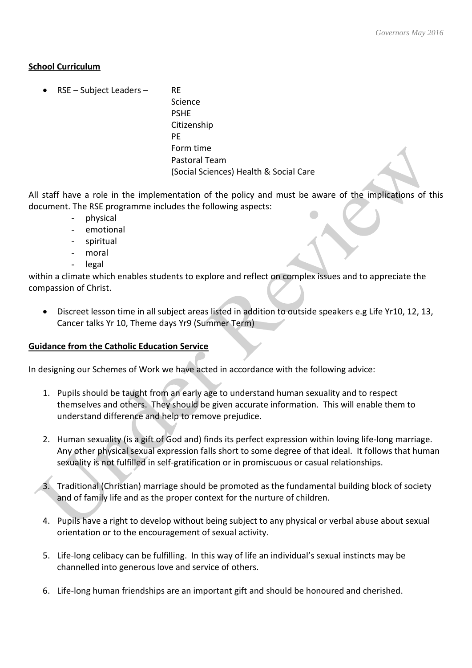#### **School Curriculum**

RSE – Subject Leaders – RE

Science PSHE Citizenship PE Form time Pastoral Team (Social Sciences) Health & Social Care

All staff have a role in the implementation of the policy and must be aware of the implications of this document. The RSE programme includes the following aspects:

- physical
- emotional
- spiritual
- moral
- legal

within a climate which enables students to explore and reflect on complex issues and to appreciate the compassion of Christ.

 Discreet lesson time in all subject areas listed in addition to outside speakers e.g Life Yr10, 12, 13, Cancer talks Yr 10, Theme days Yr9 (Summer Term)

### **Guidance from the Catholic Education Service**

In designing our Schemes of Work we have acted in accordance with the following advice:

- 1. Pupils should be taught from an early age to understand human sexuality and to respect themselves and others. They should be given accurate information. This will enable them to understand difference and help to remove prejudice.
- 2. Human sexuality (is a gift of God and) finds its perfect expression within loving life-long marriage. Any other physical sexual expression falls short to some degree of that ideal. It follows that human sexuality is not fulfilled in self-gratification or in promiscuous or casual relationships.
- 3. Traditional (Christian) marriage should be promoted as the fundamental building block of society and of family life and as the proper context for the nurture of children.
- 4. Pupils have a right to develop without being subject to any physical or verbal abuse about sexual orientation or to the encouragement of sexual activity.
- 5. Life-long celibacy can be fulfilling. In this way of life an individual's sexual instincts may be channelled into generous love and service of others.
- 6. Life-long human friendships are an important gift and should be honoured and cherished.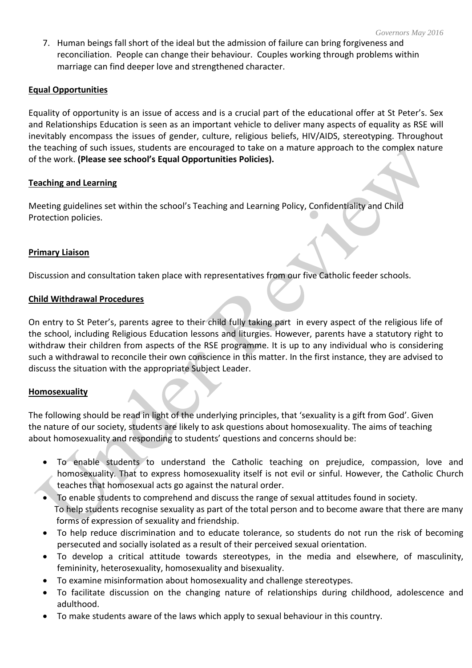7. Human beings fall short of the ideal but the admission of failure can bring forgiveness and reconciliation. People can change their behaviour. Couples working through problems within marriage can find deeper love and strengthened character.

#### **Equal Opportunities**

Equality of opportunity is an issue of access and is a crucial part of the educational offer at St Peter's. Sex and Relationships Education is seen as an important vehicle to deliver many aspects of equality as RSE will inevitably encompass the issues of gender, culture, religious beliefs, HIV/AIDS, stereotyping. Throughout the teaching of such issues, students are encouraged to take on a mature approach to the complex nature of the work. **(Please see school's Equal Opportunities Policies).**

#### **Teaching and Learning**

Meeting guidelines set within the school's Teaching and Learning Policy, Confidentiality and Child Protection policies.

#### **Primary Liaison**

Discussion and consultation taken place with representatives from our five Catholic feeder schools.

#### **Child Withdrawal Procedures**

On entry to St Peter's, parents agree to their child fully taking part in every aspect of the religious life of the school, including Religious Education lessons and liturgies. However, parents have a statutory right to withdraw their children from aspects of the RSE programme. It is up to any individual who is considering such a withdrawal to reconcile their own conscience in this matter. In the first instance, they are advised to discuss the situation with the appropriate Subject Leader.

### **Homosexuality**

The following should be read in light of the underlying principles, that 'sexuality is a gift from God'. Given the nature of our society, students are likely to ask questions about homosexuality. The aims of teaching about homosexuality and responding to students' questions and concerns should be:

- To enable students to understand the Catholic teaching on prejudice, compassion, love and homosexuality. That to express homosexuality itself is not evil or sinful. However, the Catholic Church teaches that homosexual acts go against the natural order.
- To enable students to comprehend and discuss the range of sexual attitudes found in society. To help students recognise sexuality as part of the total person and to become aware that there are many forms of expression of sexuality and friendship.
- To help reduce discrimination and to educate tolerance, so students do not run the risk of becoming persecuted and socially isolated as a result of their perceived sexual orientation.
- To develop a critical attitude towards stereotypes, in the media and elsewhere, of masculinity, femininity, heterosexuality, homosexuality and bisexuality.
- To examine misinformation about homosexuality and challenge stereotypes.
- To facilitate discussion on the changing nature of relationships during childhood, adolescence and adulthood.
- To make students aware of the laws which apply to sexual behaviour in this country.